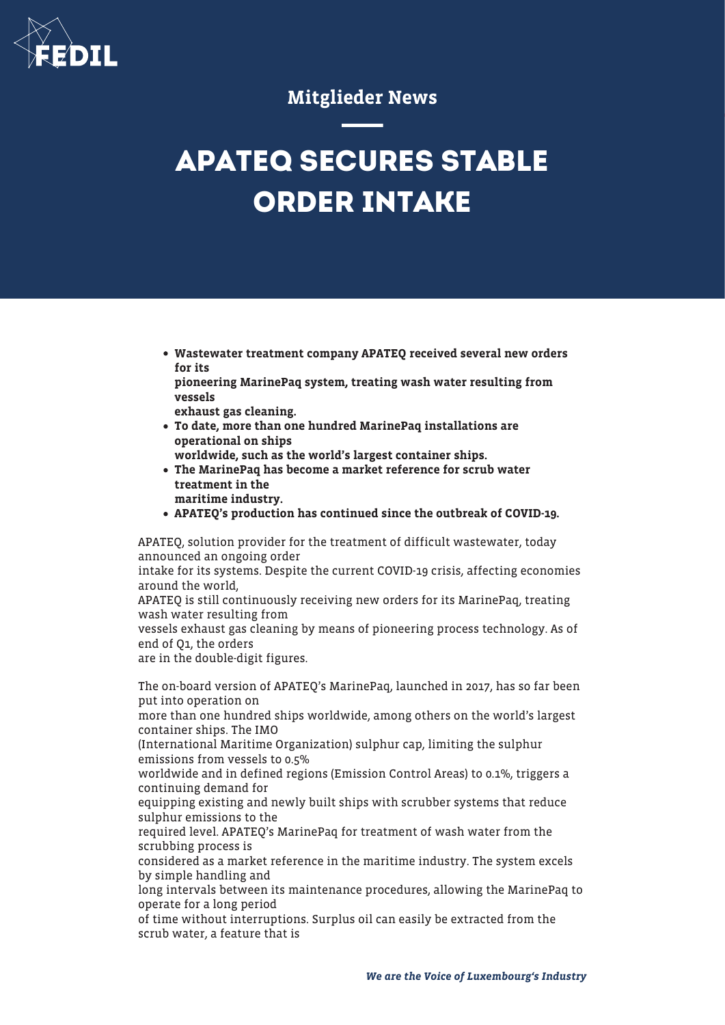

## Mitglieder News

## **APATEQ SECURES STABLE ORDER INTAKE**

- Wastewater treatment company APATEQ received several new orders for its
- pioneering MarinePaq system, treating wash water resulting from vessels
- exhaust gas cleaning.
- To date, more than one hundred MarinePaq installations are operational on ships
	- worldwide, such as the world's largest container ships.
- The MarinePaq has become a market reference for scrub water treatment in the
	- maritime industry.
- APATEQ's production has continued since the outbreak of COVID-19.

APATEQ, solution provider for the treatment of difficult wastewater, today announced an ongoing order

intake for its systems. Despite the current COVID-19 crisis, affecting economies around the world,

APATEQ is still continuously receiving new orders for its MarinePaq, treating wash water resulting from

vessels exhaust gas cleaning by means of pioneering process technology. As of end of Q1, the orders

are in the double-digit figures.

The on-board version of APATEQ's MarinePaq, launched in 2017, has so far been put into operation on

more than one hundred ships worldwide, among others on the world's largest container ships. The IMO

(International Maritime Organization) sulphur cap, limiting the sulphur emissions from vessels to 0.5%

worldwide and in defined regions (Emission Control Areas) to 0.1%, triggers a continuing demand for

equipping existing and newly built ships with scrubber systems that reduce sulphur emissions to the

required level. APATEQ's MarinePaq for treatment of wash water from the scrubbing process is

considered as a market reference in the maritime industry. The system excels by simple handling and

long intervals between its maintenance procedures, allowing the MarinePaq to operate for a long period

of time without interruptions. Surplus oil can easily be extracted from the scrub water, a feature that is